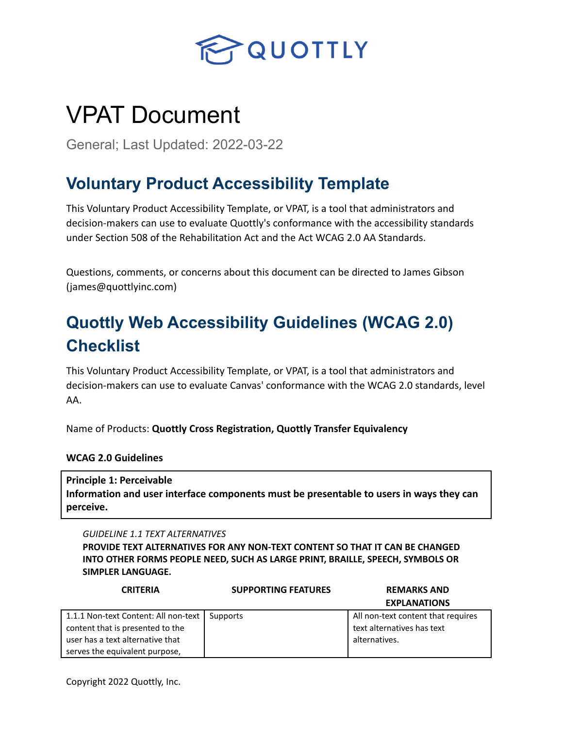

# VPAT Document

General; Last Updated: 2022-03-22

# **Voluntary Product Accessibility Template**

This Voluntary Product Accessibility Template, or VPAT, is a tool that administrators and decision-makers can use to evaluate Quottly's conformance with the accessibility standards under Section 508 of the Rehabilitation Act and the Act WCAG 2.0 AA Standards.

Questions, comments, or concerns about this document can be directed to James Gibson (james@quottlyinc.com)

# **Quottly Web Accessibility Guidelines (WCAG 2.0) Checklist**

This Voluntary Product Accessibility Template, or VPAT, is a tool that administrators and decision-makers can use to evaluate Canvas' conformance with the WCAG 2.0 standards, level AA.

Name of Products: **Quottly Cross Registration, Quottly Transfer Equivalency**

**WCAG 2.0 Guidelines**

**Principle 1: Perceivable Information and user interface components must be presentable to users in ways they can perceive.**

*GUIDELINE 1.1 TEXT ALTERNATIVES*

**PROVIDE TEXT ALTERNATIVES FOR ANY NON-TEXT CONTENT SO THAT IT CAN BE CHANGED INTO OTHER FORMS PEOPLE NEED, SUCH AS LARGE PRINT, BRAILLE, SPEECH, SYMBOLS OR SIMPLER LANGUAGE.**

| <b>CRITERIA</b>                      | <b>SUPPORTING FEATURES</b> | <b>REMARKS AND</b>                 |  |
|--------------------------------------|----------------------------|------------------------------------|--|
|                                      |                            | <b>EXPLANATIONS</b>                |  |
| 1.1.1 Non-text Content: All non-text | Supports                   | All non-text content that requires |  |
| content that is presented to the     |                            | text alternatives has text         |  |
| user has a text alternative that     |                            | alternatives.                      |  |
| serves the equivalent purpose,       |                            |                                    |  |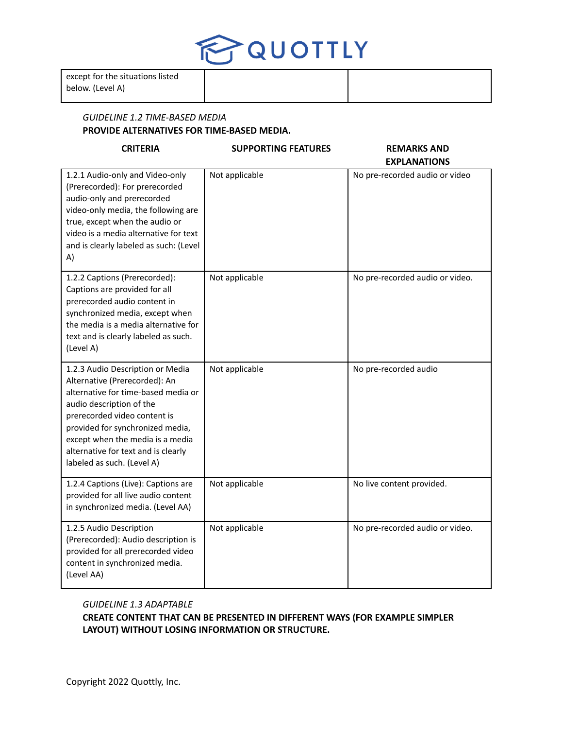

# *GUIDELINE 1.2 TIME-BASED MEDIA* **PROVIDE ALTERNATIVES FOR TIME-BASED MEDIA.**

# **CRITERIA SUPPORTING FEATURES REMARKS AND**

# **EXPLANATIONS**

| 1.2.1 Audio-only and Video-only<br>(Prerecorded): For prerecorded<br>audio-only and prerecorded<br>video-only media, the following are<br>true, except when the audio or<br>video is a media alternative for text<br>and is clearly labeled as such: (Level<br>A)                                                 | Not applicable | No pre-recorded audio or video  |
|-------------------------------------------------------------------------------------------------------------------------------------------------------------------------------------------------------------------------------------------------------------------------------------------------------------------|----------------|---------------------------------|
| 1.2.2 Captions (Prerecorded):<br>Captions are provided for all<br>prerecorded audio content in<br>synchronized media, except when<br>the media is a media alternative for<br>text and is clearly labeled as such.<br>(Level A)                                                                                    | Not applicable | No pre-recorded audio or video. |
| 1.2.3 Audio Description or Media<br>Alternative (Prerecorded): An<br>alternative for time-based media or<br>audio description of the<br>prerecorded video content is<br>provided for synchronized media,<br>except when the media is a media<br>alternative for text and is clearly<br>labeled as such. (Level A) | Not applicable | No pre-recorded audio           |
| 1.2.4 Captions (Live): Captions are<br>provided for all live audio content<br>in synchronized media. (Level AA)                                                                                                                                                                                                   | Not applicable | No live content provided.       |
| 1.2.5 Audio Description<br>(Prerecorded): Audio description is<br>provided for all prerecorded video<br>content in synchronized media.<br>(Level AA)                                                                                                                                                              | Not applicable | No pre-recorded audio or video. |

# *GUIDELINE 1.3 ADAPTABLE*

**CREATE CONTENT THAT CAN BE PRESENTED IN DIFFERENT WAYS (FOR EXAMPLE SIMPLER LAYOUT) WITHOUT LOSING INFORMATION OR STRUCTURE.**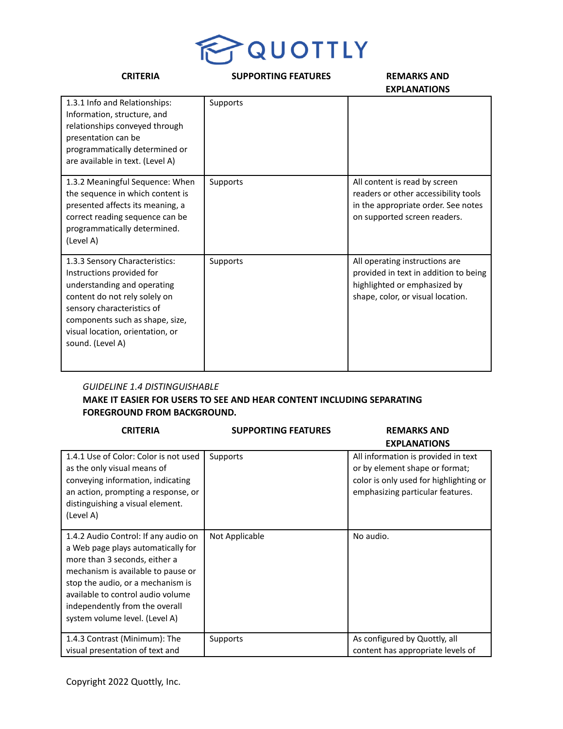

| <b>CRITERIA</b>                                                                                                                                                                                                                                      | <b>SUPPORTING FEATURES</b> | <b>REMARKS AND</b><br><b>EXPLANATIONS</b>                                                                                                    |
|------------------------------------------------------------------------------------------------------------------------------------------------------------------------------------------------------------------------------------------------------|----------------------------|----------------------------------------------------------------------------------------------------------------------------------------------|
| 1.3.1 Info and Relationships:<br>Information, structure, and<br>relationships conveyed through<br>presentation can be<br>programmatically determined or<br>are available in text. (Level A)                                                          | Supports                   |                                                                                                                                              |
| 1.3.2 Meaningful Sequence: When<br>the sequence in which content is<br>presented affects its meaning, a<br>correct reading sequence can be<br>programmatically determined.<br>(Level A)                                                              | Supports                   | All content is read by screen<br>readers or other accessibility tools<br>in the appropriate order. See notes<br>on supported screen readers. |
| 1.3.3 Sensory Characteristics:<br>Instructions provided for<br>understanding and operating<br>content do not rely solely on<br>sensory characteristics of<br>components such as shape, size,<br>visual location, orientation, or<br>sound. (Level A) | Supports                   | All operating instructions are<br>provided in text in addition to being<br>highlighted or emphasized by<br>shape, color, or visual location. |

# *GUIDELINE 1.4 DISTINGUISHABLE*

# **MAKE IT EASIER FOR USERS TO SEE AND HEAR CONTENT INCLUDING SEPARATING FOREGROUND FROM BACKGROUND.**

| <b>CRITERIA</b>                                                                                                                                                                                                                                                                                 | <b>SUPPORTING FEATURES</b> | <b>REMARKS AND</b>                                                                                                                                  |
|-------------------------------------------------------------------------------------------------------------------------------------------------------------------------------------------------------------------------------------------------------------------------------------------------|----------------------------|-----------------------------------------------------------------------------------------------------------------------------------------------------|
|                                                                                                                                                                                                                                                                                                 |                            | <b>EXPLANATIONS</b>                                                                                                                                 |
| 1.4.1 Use of Color: Color is not used<br>as the only visual means of<br>conveying information, indicating<br>an action, prompting a response, or<br>distinguishing a visual element.<br>(Level A)                                                                                               | Supports                   | All information is provided in text<br>or by element shape or format;<br>color is only used for highlighting or<br>emphasizing particular features. |
| 1.4.2 Audio Control: If any audio on<br>a Web page plays automatically for<br>more than 3 seconds, either a<br>mechanism is available to pause or<br>stop the audio, or a mechanism is<br>available to control audio volume<br>independently from the overall<br>system volume level. (Level A) | Not Applicable             | No audio.                                                                                                                                           |
| 1.4.3 Contrast (Minimum): The<br>visual presentation of text and                                                                                                                                                                                                                                | Supports                   | As configured by Quottly, all<br>content has appropriate levels of                                                                                  |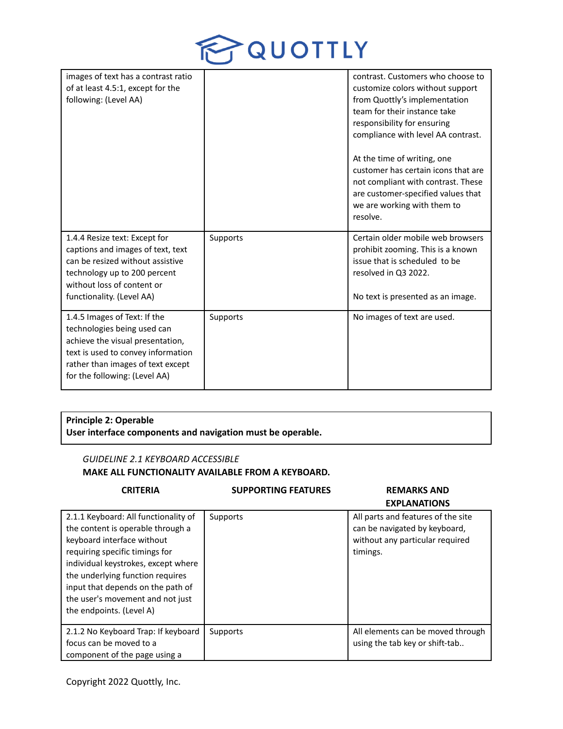

| images of text has a contrast ratio<br>of at least 4.5:1, except for the<br>following: (Level AA)                                                                                                           |          | contrast. Customers who choose to<br>customize colors without support<br>from Quottly's implementation<br>team for their instance take<br>responsibility for ensuring<br>compliance with level AA contrast.<br>At the time of writing, one<br>customer has certain icons that are<br>not compliant with contrast. These<br>are customer-specified values that<br>we are working with them to<br>resolve. |
|-------------------------------------------------------------------------------------------------------------------------------------------------------------------------------------------------------------|----------|----------------------------------------------------------------------------------------------------------------------------------------------------------------------------------------------------------------------------------------------------------------------------------------------------------------------------------------------------------------------------------------------------------|
| 1.4.4 Resize text: Except for<br>captions and images of text, text<br>can be resized without assistive<br>technology up to 200 percent<br>without loss of content or<br>functionality. (Level AA)           | Supports | Certain older mobile web browsers<br>prohibit zooming. This is a known<br>issue that is scheduled to be<br>resolved in Q3 2022.<br>No text is presented as an image.                                                                                                                                                                                                                                     |
| 1.4.5 Images of Text: If the<br>technologies being used can<br>achieve the visual presentation,<br>text is used to convey information<br>rather than images of text except<br>for the following: (Level AA) | Supports | No images of text are used.                                                                                                                                                                                                                                                                                                                                                                              |

# **Principle 2: Operable User interface components and navigation must be operable.**

## *GUIDELINE 2.1 KEYBOARD ACCESSIBLE*

# **MAKE ALL FUNCTIONALITY AVAILABLE FROM A KEYBOARD.**

### **CRITERIA SUPPORTING FEATURES REMARKS AND EXPLANATIONS** 2.1.1 Keyboard: All functionality of the content is operable through a keyboard interface without requiring specific timings for individual keystrokes, except where the underlying function requires input that depends on the path of the user's movement and not just the endpoints. (Level A) Supports All parts and features of the site can be navigated by keyboard, without any particular required timings. 2.1.2 No Keyboard Trap: If keyboard focus can be moved to a component of the page using a Supports All elements can be moved through using the tab key or shift-tab..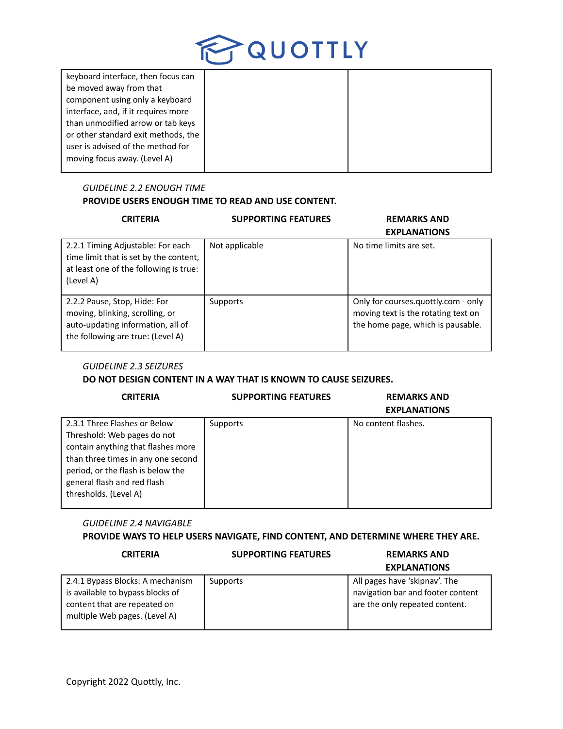

| keyboard interface, then focus can  |  |
|-------------------------------------|--|
| be moved away from that             |  |
| component using only a keyboard     |  |
| interface, and, if it requires more |  |
| than unmodified arrow or tab keys   |  |
| or other standard exit methods, the |  |
| user is advised of the method for   |  |
| moving focus away. (Level A)        |  |
|                                     |  |

# *GUIDELINE 2.2 ENOUGH TIME* **PROVIDE USERS ENOUGH TIME TO READ AND USE CONTENT.**

| <b>CRITERIA</b>                                                                                                                           | <b>SUPPORTING FEATURES</b> | <b>REMARKS AND</b><br><b>EXPLANATIONS</b>                                                                       |
|-------------------------------------------------------------------------------------------------------------------------------------------|----------------------------|-----------------------------------------------------------------------------------------------------------------|
| 2.2.1 Timing Adjustable: For each<br>time limit that is set by the content,<br>at least one of the following is true:<br>(Level A)        | Not applicable             | No time limits are set.                                                                                         |
| 2.2.2 Pause, Stop, Hide: For<br>moving, blinking, scrolling, or<br>auto-updating information, all of<br>the following are true: (Level A) | Supports                   | Only for courses.quottly.com - only<br>moving text is the rotating text on<br>the home page, which is pausable. |

# *GUIDELINE 2.3 SEIZURES*

# **DO NOT DESIGN CONTENT IN A WAY THAT IS KNOWN TO CAUSE SEIZURES.**

| <b>CRITERIA</b>                                                                                                                                                                                                                      | <b>SUPPORTING FEATURES</b> | <b>REMARKS AND</b><br><b>EXPLANATIONS</b> |
|--------------------------------------------------------------------------------------------------------------------------------------------------------------------------------------------------------------------------------------|----------------------------|-------------------------------------------|
| 2.3.1 Three Flashes or Below<br>Threshold: Web pages do not<br>contain anything that flashes more<br>than three times in any one second<br>period, or the flash is below the<br>general flash and red flash<br>thresholds. (Level A) | Supports                   | No content flashes.                       |

# *GUIDELINE 2.4 NAVIGABLE*

# **PROVIDE WAYS TO HELP USERS NAVIGATE, FIND CONTENT, AND DETERMINE WHERE THEY ARE.**

## **CRITERIA SUPPORTING FEATURES REMARKS AND**

# **EXPLANATIONS**

| 2.4.1 Bypass Blocks: A mechanism | Supports | All pages have 'skipnav'. The     |
|----------------------------------|----------|-----------------------------------|
| is available to bypass blocks of |          | navigation bar and footer content |
| content that are repeated on     |          | are the only repeated content.    |
| multiple Web pages. (Level A)    |          |                                   |
|                                  |          |                                   |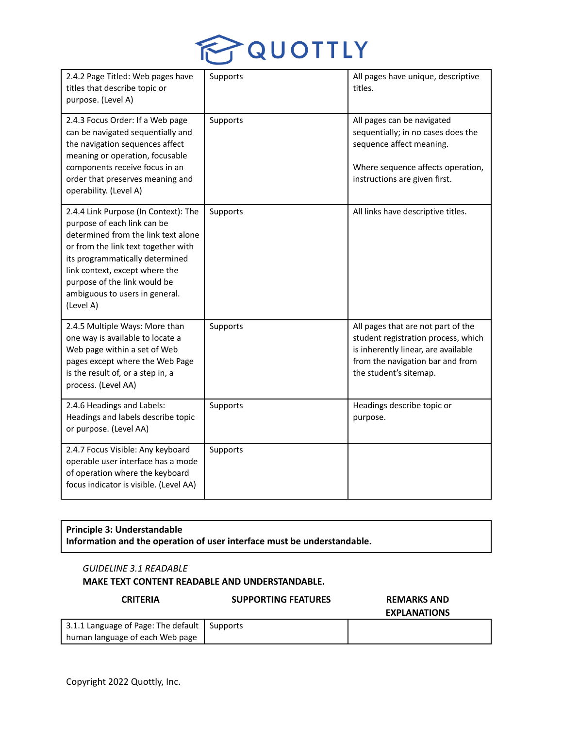

| 2.4.2 Page Titled: Web pages have<br>titles that describe topic or<br>purpose. (Level A)                                                                                                                                                                                                              | Supports | All pages have unique, descriptive<br>titles.                                                                                                                                  |
|-------------------------------------------------------------------------------------------------------------------------------------------------------------------------------------------------------------------------------------------------------------------------------------------------------|----------|--------------------------------------------------------------------------------------------------------------------------------------------------------------------------------|
| 2.4.3 Focus Order: If a Web page<br>can be navigated sequentially and<br>the navigation sequences affect<br>meaning or operation, focusable<br>components receive focus in an<br>order that preserves meaning and<br>operability. (Level A)                                                           | Supports | All pages can be navigated<br>sequentially; in no cases does the<br>sequence affect meaning.<br>Where sequence affects operation,<br>instructions are given first.             |
| 2.4.4 Link Purpose (In Context): The<br>purpose of each link can be<br>determined from the link text alone<br>or from the link text together with<br>its programmatically determined<br>link context, except where the<br>purpose of the link would be<br>ambiguous to users in general.<br>(Level A) | Supports | All links have descriptive titles.                                                                                                                                             |
| 2.4.5 Multiple Ways: More than<br>one way is available to locate a<br>Web page within a set of Web<br>pages except where the Web Page<br>is the result of, or a step in, a<br>process. (Level AA)                                                                                                     | Supports | All pages that are not part of the<br>student registration process, which<br>is inherently linear, are available<br>from the navigation bar and from<br>the student's sitemap. |
| 2.4.6 Headings and Labels:<br>Headings and labels describe topic<br>or purpose. (Level AA)                                                                                                                                                                                                            | Supports | Headings describe topic or<br>purpose.                                                                                                                                         |
| 2.4.7 Focus Visible: Any keyboard<br>operable user interface has a mode<br>of operation where the keyboard<br>focus indicator is visible. (Level AA)                                                                                                                                                  | Supports |                                                                                                                                                                                |

# **Principle 3: Understandable Information and the operation of user interface must be understandable.**

## *GUIDELINE 3.1 READABLE*

## **MAKE TEXT CONTENT READABLE AND UNDERSTANDABLE.**

## **CRITERIA SUPPORTING FEATURES REMARKS AND**

**EXPLANATIONS**

| 3.1.1 Language of Page: The default   Supports |  |
|------------------------------------------------|--|
| human language of each Web page                |  |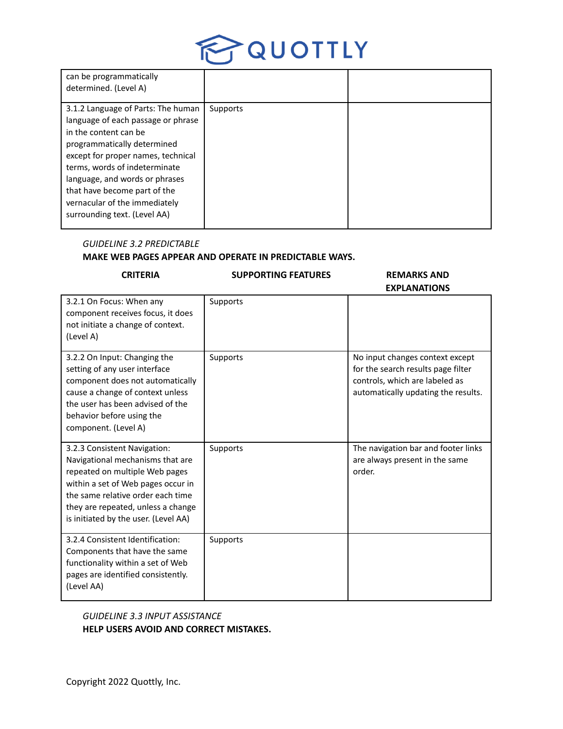

| can be programmatically<br>determined. (Level A)                                                                                                                                                                                                                                                                                           |          |  |
|--------------------------------------------------------------------------------------------------------------------------------------------------------------------------------------------------------------------------------------------------------------------------------------------------------------------------------------------|----------|--|
| 3.1.2 Language of Parts: The human<br>language of each passage or phrase<br>in the content can be<br>programmatically determined<br>except for proper names, technical<br>terms, words of indeterminate<br>language, and words or phrases<br>that have become part of the<br>vernacular of the immediately<br>surrounding text. (Level AA) | Supports |  |

## *GUIDELINE 3.2 PREDICTABLE*

# **MAKE WEB PAGES APPEAR AND OPERATE IN PREDICTABLE WAYS.**

# **CRITERIA SUPPORTING FEATURES REMARKS AND**

**EXPLANATIONS**

| 3.2.1 On Focus: When any<br>component receives focus, it does<br>not initiate a change of context.<br>(Level A)                                                                                                                                             | Supports |                                                                                                                                                |
|-------------------------------------------------------------------------------------------------------------------------------------------------------------------------------------------------------------------------------------------------------------|----------|------------------------------------------------------------------------------------------------------------------------------------------------|
| 3.2.2 On Input: Changing the<br>setting of any user interface<br>component does not automatically<br>cause a change of context unless<br>the user has been advised of the<br>behavior before using the<br>component. (Level A)                              | Supports | No input changes context except<br>for the search results page filter<br>controls, which are labeled as<br>automatically updating the results. |
| 3.2.3 Consistent Navigation:<br>Navigational mechanisms that are<br>repeated on multiple Web pages<br>within a set of Web pages occur in<br>the same relative order each time<br>they are repeated, unless a change<br>is initiated by the user. (Level AA) | Supports | The navigation bar and footer links<br>are always present in the same<br>order.                                                                |
| 3.2.4 Consistent Identification:<br>Components that have the same<br>functionality within a set of Web<br>pages are identified consistently.<br>(Level AA)                                                                                                  | Supports |                                                                                                                                                |

# *GUIDELINE 3.3 INPUT ASSISTANCE* **HELP USERS AVOID AND CORRECT MISTAKES.**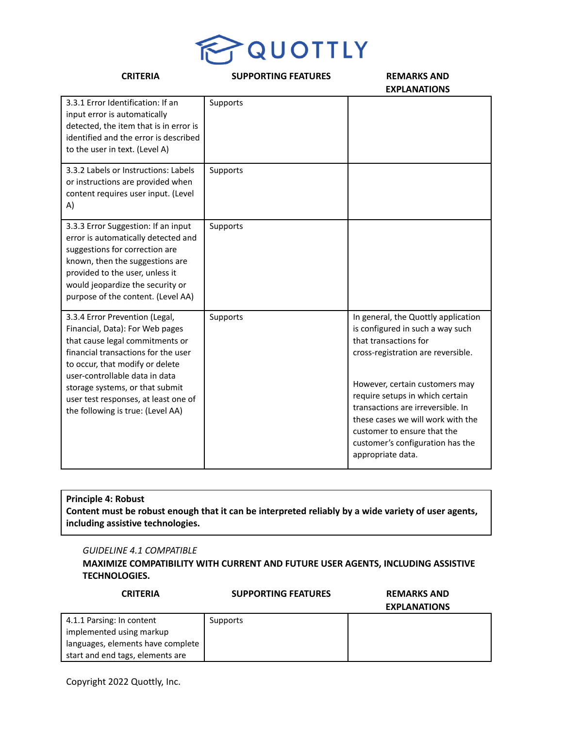

| <b>CRITERIA</b>                                                                                                                                                                                                                                                                                                                  | <b>SUPPORTING FEATURES</b> | <b>REMARKS AND</b><br><b>EXPLANATIONS</b>                                                                                                                                                                                                                                                                                                                                     |
|----------------------------------------------------------------------------------------------------------------------------------------------------------------------------------------------------------------------------------------------------------------------------------------------------------------------------------|----------------------------|-------------------------------------------------------------------------------------------------------------------------------------------------------------------------------------------------------------------------------------------------------------------------------------------------------------------------------------------------------------------------------|
| 3.3.1 Error Identification: If an<br>input error is automatically<br>detected, the item that is in error is<br>identified and the error is described<br>to the user in text. (Level A)                                                                                                                                           | Supports                   |                                                                                                                                                                                                                                                                                                                                                                               |
| 3.3.2 Labels or Instructions: Labels<br>or instructions are provided when<br>content requires user input. (Level<br>A)                                                                                                                                                                                                           | Supports                   |                                                                                                                                                                                                                                                                                                                                                                               |
| 3.3.3 Error Suggestion: If an input<br>error is automatically detected and<br>suggestions for correction are<br>known, then the suggestions are<br>provided to the user, unless it<br>would jeopardize the security or<br>purpose of the content. (Level AA)                                                                     | Supports                   |                                                                                                                                                                                                                                                                                                                                                                               |
| 3.3.4 Error Prevention (Legal,<br>Financial, Data): For Web pages<br>that cause legal commitments or<br>financial transactions for the user<br>to occur, that modify or delete<br>user-controllable data in data<br>storage systems, or that submit<br>user test responses, at least one of<br>the following is true: (Level AA) | Supports                   | In general, the Quottly application<br>is configured in such a way such<br>that transactions for<br>cross-registration are reversible.<br>However, certain customers may<br>require setups in which certain<br>transactions are irreversible. In<br>these cases we will work with the<br>customer to ensure that the<br>customer's configuration has the<br>appropriate data. |

# **Principle 4: Robust** Content must be robust enough that it can be interpreted reliably by a wide variety of user agents, **including assistive technologies.**

## *GUIDELINE 4.1 COMPATIBLE*

**MAXIMIZE COMPATIBILITY WITH CURRENT AND FUTURE USER AGENTS, INCLUDING ASSISTIVE TECHNOLOGIES.**

| <b>CRITERIA</b>                   | <b>SUPPORTING FEATURES</b> | <b>REMARKS AND</b>  |
|-----------------------------------|----------------------------|---------------------|
|                                   |                            | <b>EXPLANATIONS</b> |
| 4.1.1 Parsing: In content         | Supports                   |                     |
| implemented using markup          |                            |                     |
| languages, elements have complete |                            |                     |
| start and end tags, elements are  |                            |                     |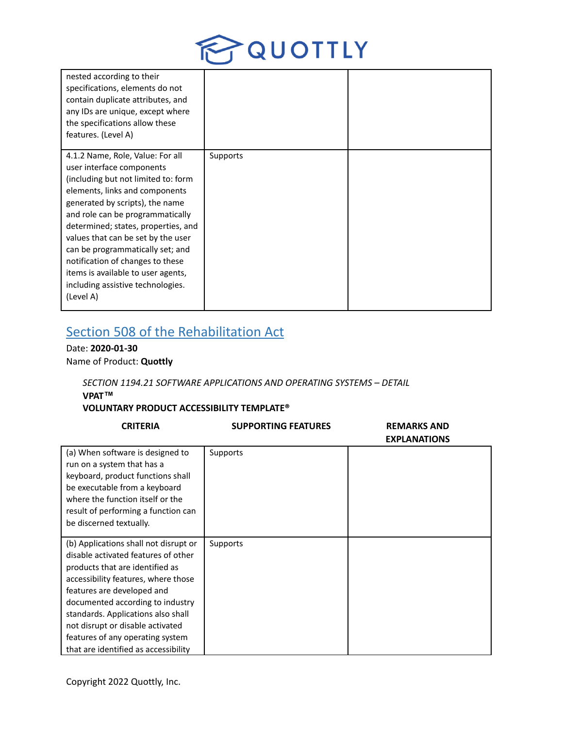

| nested according to their<br>specifications, elements do not<br>contain duplicate attributes, and<br>any IDs are unique, except where<br>the specifications allow these<br>features. (Level A)                                                                                                                                                                                                                                                             |          |  |
|------------------------------------------------------------------------------------------------------------------------------------------------------------------------------------------------------------------------------------------------------------------------------------------------------------------------------------------------------------------------------------------------------------------------------------------------------------|----------|--|
| 4.1.2 Name, Role, Value: For all<br>user interface components<br>(including but not limited to: form<br>elements, links and components<br>generated by scripts), the name<br>and role can be programmatically<br>determined; states, properties, and<br>values that can be set by the user<br>can be programmatically set; and<br>notification of changes to these<br>items is available to user agents,<br>including assistive technologies.<br>(Level A) | Supports |  |

# Section 508 of the Rehabilitation Act

Date: **2020-01-30** Name of Product: **Quottly**

# *SECTION 1194.21 SOFTWARE APPLICATIONS AND OPERATING SYSTEMS – DETAIL* **VPAT™**

# **VOLUNTARY PRODUCT ACCESSIBILITY TEMPLATE®**

| <b>CRITERIA</b>                                                                                                                                                                                                                                                                                                                                                                | <b>SUPPORTING FEATURES</b> | <b>REMARKS AND</b><br><b>EXPLANATIONS</b> |
|--------------------------------------------------------------------------------------------------------------------------------------------------------------------------------------------------------------------------------------------------------------------------------------------------------------------------------------------------------------------------------|----------------------------|-------------------------------------------|
| (a) When software is designed to<br>run on a system that has a<br>keyboard, product functions shall<br>be executable from a keyboard<br>where the function itself or the<br>result of performing a function can<br>be discerned textually.                                                                                                                                     | Supports                   |                                           |
| (b) Applications shall not disrupt or<br>disable activated features of other<br>products that are identified as<br>accessibility features, where those<br>features are developed and<br>documented according to industry<br>standards. Applications also shall<br>not disrupt or disable activated<br>features of any operating system<br>that are identified as accessibility | Supports                   |                                           |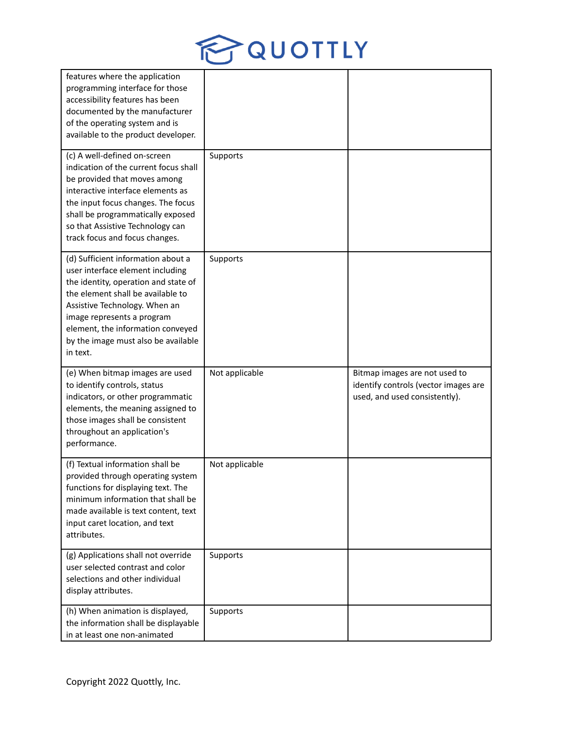

| features where the application<br>programming interface for those<br>accessibility features has been<br>documented by the manufacturer<br>of the operating system and is<br>available to the product developer.                                                                                            |                |                                                                                                        |
|------------------------------------------------------------------------------------------------------------------------------------------------------------------------------------------------------------------------------------------------------------------------------------------------------------|----------------|--------------------------------------------------------------------------------------------------------|
| (c) A well-defined on-screen<br>indication of the current focus shall<br>be provided that moves among<br>interactive interface elements as<br>the input focus changes. The focus<br>shall be programmatically exposed<br>so that Assistive Technology can<br>track focus and focus changes.                | Supports       |                                                                                                        |
| (d) Sufficient information about a<br>user interface element including<br>the identity, operation and state of<br>the element shall be available to<br>Assistive Technology. When an<br>image represents a program<br>element, the information conveyed<br>by the image must also be available<br>in text. | Supports       |                                                                                                        |
| (e) When bitmap images are used<br>to identify controls, status<br>indicators, or other programmatic<br>elements, the meaning assigned to<br>those images shall be consistent<br>throughout an application's<br>performance.                                                                               | Not applicable | Bitmap images are not used to<br>identify controls (vector images are<br>used, and used consistently). |
| (f) Textual information shall be<br>provided through operating system<br>functions for displaying text. The<br>minimum information that shall be<br>made available is text content, text<br>input caret location, and text<br>attributes.                                                                  | Not applicable |                                                                                                        |
| (g) Applications shall not override<br>user selected contrast and color<br>selections and other individual<br>display attributes.                                                                                                                                                                          | Supports       |                                                                                                        |
| (h) When animation is displayed,<br>the information shall be displayable<br>in at least one non-animated                                                                                                                                                                                                   | Supports       |                                                                                                        |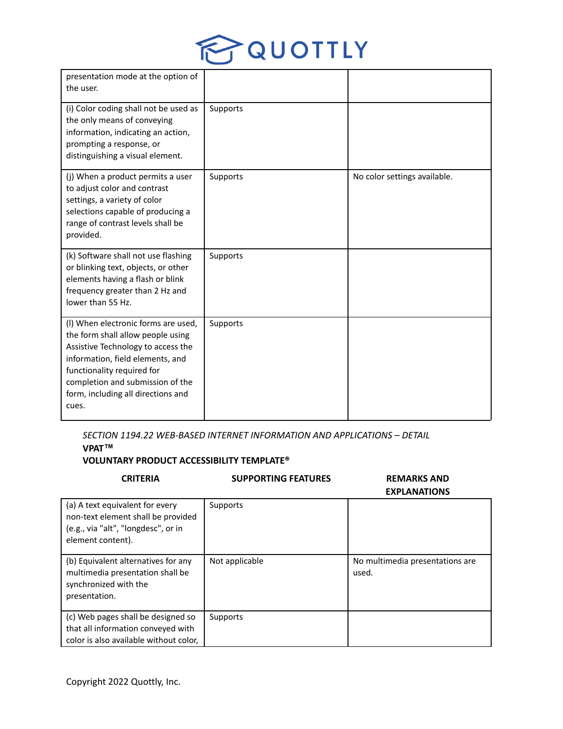

| presentation mode at the option of<br>the user.                                                                                                                                                                                                                     |          |                              |
|---------------------------------------------------------------------------------------------------------------------------------------------------------------------------------------------------------------------------------------------------------------------|----------|------------------------------|
| (i) Color coding shall not be used as<br>the only means of conveying<br>information, indicating an action,<br>prompting a response, or<br>distinguishing a visual element.                                                                                          | Supports |                              |
| (j) When a product permits a user<br>to adjust color and contrast<br>settings, a variety of color<br>selections capable of producing a<br>range of contrast levels shall be<br>provided.                                                                            | Supports | No color settings available. |
| (k) Software shall not use flashing<br>or blinking text, objects, or other<br>elements having a flash or blink<br>frequency greater than 2 Hz and<br>lower than 55 Hz.                                                                                              | Supports |                              |
| (I) When electronic forms are used,<br>the form shall allow people using<br>Assistive Technology to access the<br>information, field elements, and<br>functionality required for<br>completion and submission of the<br>form, including all directions and<br>cues. | Supports |                              |

*SECTION 1194.22 WEB-BASED INTERNET INFORMATION AND APPLICATIONS – DETAIL* **VPAT™**

# **VOLUNTARY PRODUCT ACCESSIBILITY TEMPLATE®**

| <b>CRITERIA</b>                                                                                                                   | <b>SUPPORTING FEATURES</b> | <b>REMARKS AND</b><br><b>EXPLANATIONS</b> |
|-----------------------------------------------------------------------------------------------------------------------------------|----------------------------|-------------------------------------------|
| (a) A text equivalent for every<br>non-text element shall be provided<br>(e.g., via "alt", "longdesc", or in<br>element content). | Supports                   |                                           |
| (b) Equivalent alternatives for any<br>multimedia presentation shall be<br>synchronized with the<br>presentation.                 | Not applicable             | No multimedia presentations are<br>used.  |
| (c) Web pages shall be designed so<br>that all information conveyed with<br>color is also available without color,                | Supports                   |                                           |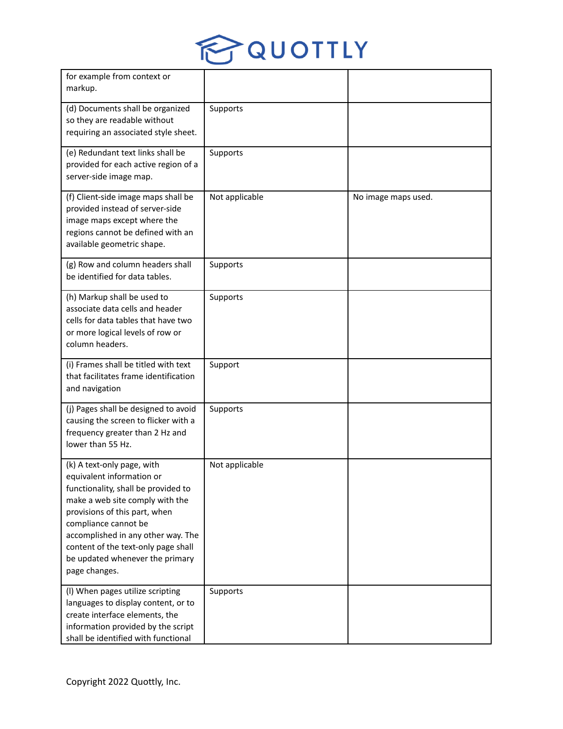

| for example from context or<br>markup.                                                                                                                                                                                                                                                                                      |                |                     |
|-----------------------------------------------------------------------------------------------------------------------------------------------------------------------------------------------------------------------------------------------------------------------------------------------------------------------------|----------------|---------------------|
| (d) Documents shall be organized<br>so they are readable without<br>requiring an associated style sheet.                                                                                                                                                                                                                    | Supports       |                     |
| (e) Redundant text links shall be<br>provided for each active region of a<br>server-side image map.                                                                                                                                                                                                                         | Supports       |                     |
| (f) Client-side image maps shall be<br>provided instead of server-side<br>image maps except where the<br>regions cannot be defined with an<br>available geometric shape.                                                                                                                                                    | Not applicable | No image maps used. |
| (g) Row and column headers shall<br>be identified for data tables.                                                                                                                                                                                                                                                          | Supports       |                     |
| (h) Markup shall be used to<br>associate data cells and header<br>cells for data tables that have two<br>or more logical levels of row or<br>column headers.                                                                                                                                                                | Supports       |                     |
| (i) Frames shall be titled with text<br>that facilitates frame identification<br>and navigation                                                                                                                                                                                                                             | Support        |                     |
| (j) Pages shall be designed to avoid<br>causing the screen to flicker with a<br>frequency greater than 2 Hz and<br>lower than 55 Hz.                                                                                                                                                                                        | Supports       |                     |
| (k) A text-only page, with<br>equivalent information or<br>functionality, shall be provided to<br>make a web site comply with the<br>provisions of this part, when<br>compliance cannot be<br>accomplished in any other way. The<br>content of the text-only page shall<br>be updated whenever the primary<br>page changes. | Not applicable |                     |
| (I) When pages utilize scripting<br>languages to display content, or to<br>create interface elements, the<br>information provided by the script<br>shall be identified with functional                                                                                                                                      | Supports       |                     |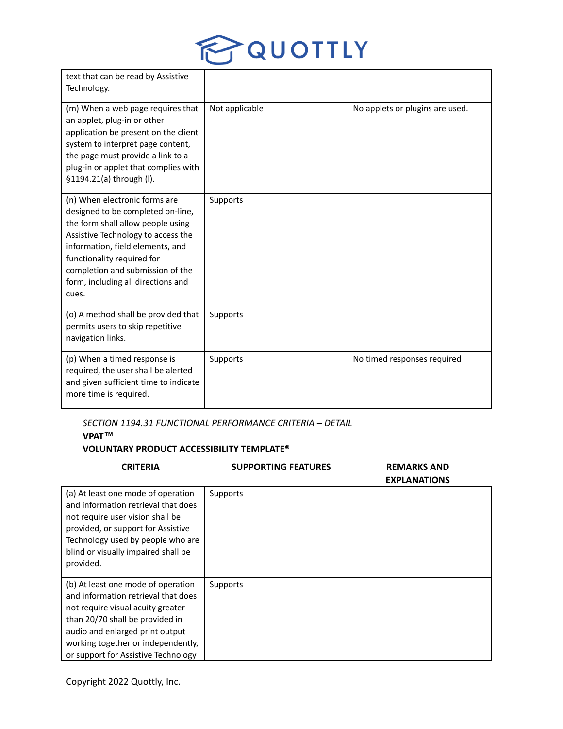

| text that can be read by Assistive<br>Technology.                                                                                                                                                                                                                                                  |                |                                 |
|----------------------------------------------------------------------------------------------------------------------------------------------------------------------------------------------------------------------------------------------------------------------------------------------------|----------------|---------------------------------|
| (m) When a web page requires that<br>an applet, plug-in or other<br>application be present on the client<br>system to interpret page content,<br>the page must provide a link to a<br>plug-in or applet that complies with<br>§1194.21(a) through (I).                                             | Not applicable | No applets or plugins are used. |
| (n) When electronic forms are<br>designed to be completed on-line,<br>the form shall allow people using<br>Assistive Technology to access the<br>information, field elements, and<br>functionality required for<br>completion and submission of the<br>form, including all directions and<br>cues. | Supports       |                                 |
| (o) A method shall be provided that<br>permits users to skip repetitive<br>navigation links.                                                                                                                                                                                                       | Supports       |                                 |
| (p) When a timed response is<br>required, the user shall be alerted<br>and given sufficient time to indicate<br>more time is required.                                                                                                                                                             | Supports       | No timed responses required     |

# *SECTION 1194.31 FUNCTIONAL PERFORMANCE CRITERIA – DETAIL* **VPAT™**

# **VOLUNTARY PRODUCT ACCESSIBILITY TEMPLATE®**

| <b>CRITERIA</b>                                                                                                                                                                                                                                                   | <b>SUPPORTING FEATURES</b> | <b>REMARKS AND</b><br><b>EXPLANATIONS</b> |
|-------------------------------------------------------------------------------------------------------------------------------------------------------------------------------------------------------------------------------------------------------------------|----------------------------|-------------------------------------------|
| (a) At least one mode of operation<br>and information retrieval that does<br>not require user vision shall be<br>provided, or support for Assistive<br>Technology used by people who are<br>blind or visually impaired shall be<br>provided.                      | Supports                   |                                           |
| (b) At least one mode of operation<br>and information retrieval that does<br>not require visual acuity greater<br>than 20/70 shall be provided in<br>audio and enlarged print output<br>working together or independently,<br>or support for Assistive Technology | Supports                   |                                           |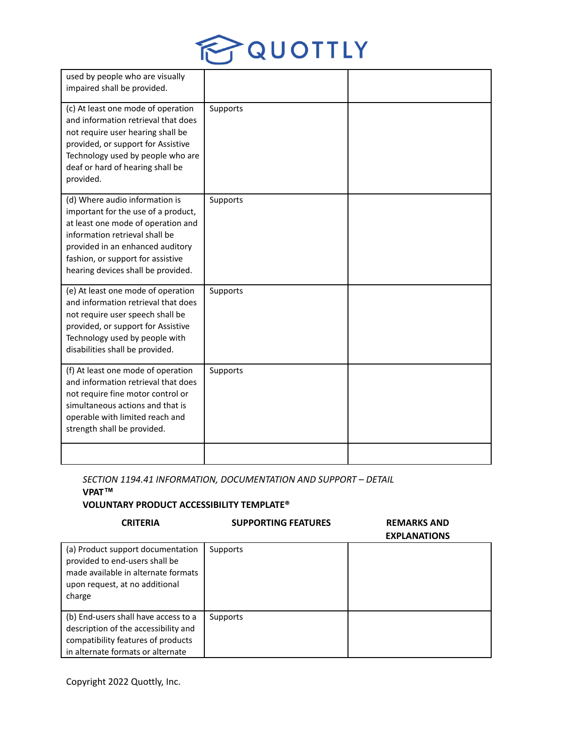

| used by people who are visually<br>impaired shall be provided.                                                                                                                                                                                               |          |  |
|--------------------------------------------------------------------------------------------------------------------------------------------------------------------------------------------------------------------------------------------------------------|----------|--|
| (c) At least one mode of operation<br>and information retrieval that does<br>not require user hearing shall be<br>provided, or support for Assistive<br>Technology used by people who are<br>deaf or hard of hearing shall be<br>provided.                   | Supports |  |
| (d) Where audio information is<br>important for the use of a product,<br>at least one mode of operation and<br>information retrieval shall be<br>provided in an enhanced auditory<br>fashion, or support for assistive<br>hearing devices shall be provided. | Supports |  |
| (e) At least one mode of operation<br>and information retrieval that does<br>not require user speech shall be<br>provided, or support for Assistive<br>Technology used by people with<br>disabilities shall be provided.                                     | Supports |  |
| (f) At least one mode of operation<br>and information retrieval that does<br>not require fine motor control or<br>simultaneous actions and that is<br>operable with limited reach and<br>strength shall be provided.                                         | Supports |  |
|                                                                                                                                                                                                                                                              |          |  |

*SECTION 1194.41 INFORMATION, DOCUMENTATION AND SUPPORT – DETAIL*

# **VPAT™ VOLUNTARY PRODUCT ACCESSIBILITY TEMPLATE®**

# **CRITERIA SUPPORTING FEATURES REMARKS AND**

# **EXPLANATIONS**

|                                                                                                                                                         |          | <b>EXPLANATIONS</b> |
|---------------------------------------------------------------------------------------------------------------------------------------------------------|----------|---------------------|
| (a) Product support documentation<br>provided to end-users shall be<br>made available in alternate formats<br>upon request, at no additional<br>charge  | Supports |                     |
| (b) End-users shall have access to a<br>description of the accessibility and<br>compatibility features of products<br>in alternate formats or alternate | Supports |                     |